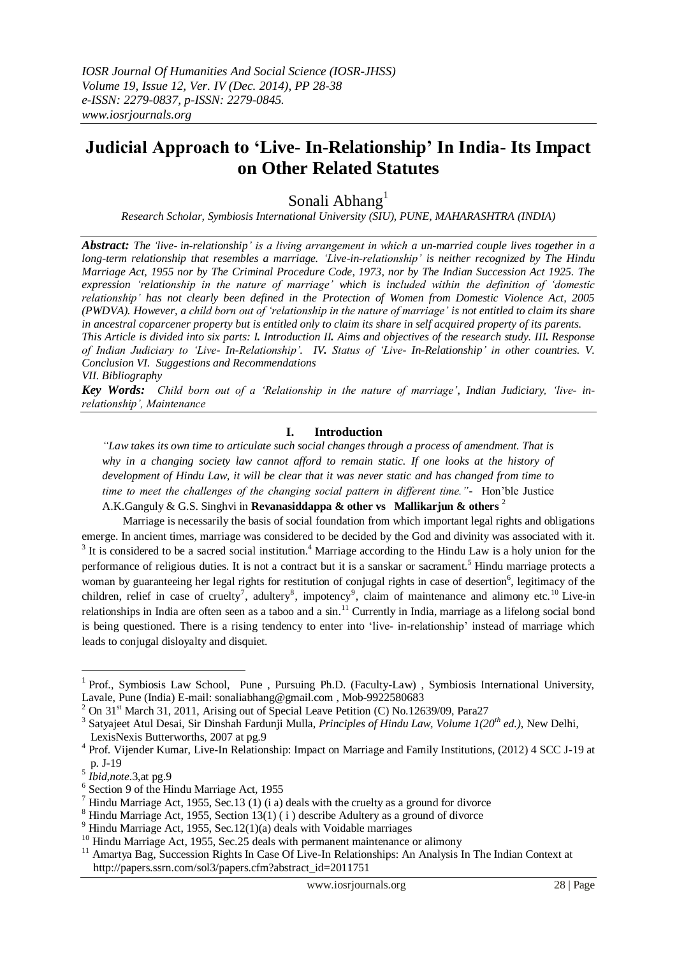## **Judicial Approach to "Live- [In-Relationship"](http://en.wikipedia.org/wiki/Cohabitation) In India- Its Impact on Other Related Statutes**

Sonali Abhang<sup>1</sup>

*Research Scholar, Symbiosis International University (SIU), PUNE, MAHARASHTRA (INDIA)*

*Abstract: The "live- [in-relationship"](http://en.wikipedia.org/wiki/Cohabitation) is a living arrangement in which a un[-married couple](http://en.wikipedia.org/wiki/Marriage) lives together in a [long-term relationship](http://en.wikipedia.org/wiki/Interpersonal_relationship) that resembles a marriage. "Live-in-relationship" is neither recognized by The [Hindu](http://en.wikipedia.org/wiki/Hindu_Marriage_Act)  [Marriage Act,](http://en.wikipedia.org/wiki/Hindu_Marriage_Act) 1955 nor by The Criminal Procedure Code, 1973, nor by The Indian Succession Act 1925. The expression "relationship in the nature of marriage" which is included within the definition of "domestic relationship" has not clearly been defined in the [Protection of Women from Domestic Violence Act, 2005](http://en.wikipedia.org/wiki/Protection_of_Women_from_Domestic_Violence_Act_2005) (PWDVA). However, a child born out of "relationship in the nature of marriage" is not entitled to claim its share in ancestral coparcener property but is entitled only to claim its share in self acquired property of its parents. This Article is divided into six parts: I. Introduction II. Aims and objectives of the research study. III. Response of Indian Judiciary to "Live- In-Relationship". IV. Status of "Live- In-Relationship" in other countries. V. Conclusion VI. Suggestions and Recommendations*

*VII. Bibliography*

*Key Words: Child born out of a "Relationship in the nature of marriage", Indian Judiciary, "live- inrelationship", Maintenance*

## **I. Introduction**

*"Law takes its own time to articulate such social changes through a process of amendment. That is why in a changing society law cannot afford to remain static. If one looks at the history of development of Hindu Law, it will be clear that it was never static and has changed from time to time to meet the challenges of the changing social pattern in different time."-* Hon'ble Justice A.K.Ganguly & G.S. Singhvi in **Revanasiddappa & other vs** Mallikarjun & others <sup>2</sup>

Marriage is necessarily the basis of social foundation from which important legal rights and obligations emerge. In ancient times, marriage was considered to be decided by the God and divinity was associated with it.  $3$  It is considered to be a sacred social institution.<sup>4</sup> Marriage according to the Hindu Law is a holy union for the performance of religious duties. It is not a contract but it is a sanskar or sacrament.<sup>5</sup> Hindu marriage protects a woman by guaranteeing her legal rights for restitution of conjugal rights in case of desertion<sup>6</sup>, legitimacy of the children, relief in case of cruelty<sup>7</sup>, adultery<sup>8</sup>, impotency<sup>9</sup>, claim of maintenance and alimony etc.<sup>10</sup> Live-in relationships in India are often seen as a taboo and a sin.<sup>11</sup> Currently in India, marriage as a lifelong social bond is being questioned. There is a rising tendency to enter into 'live- in-relationship' instead of marriage which leads to conjugal disloyalty and disquiet.

<sup>1</sup> Prof., Symbiosis Law School, Pune , Pursuing Ph.D. (Faculty-Law) , Symbiosis International University, Lavale, Pune (India) E-mail: sonaliabhang@gmail.com , Mob-9922580683

<sup>2</sup> On 31st March 31, 2011, Arising out of Special Leave Petition (C) No.12639/09, Para27

<sup>3</sup> [Satyajeet Atul Desai,](http://www.google.co.in/search?tbo=p&tbm=bks&q=inauthor:%22Satyajeet+Atul+Desai%22&source=gbs_metadata_r&cad=5) [Sir Dinshah Fardunji Mulla,](http://www.google.co.in/search?tbo=p&tbm=bks&q=inauthor:%22Sir+Dinshah+Fardunji+Mulla%22&source=gbs_metadata_r&cad=5) *Principles of Hindu Law, Volume 1(20th ed.)*, New Delhi, LexisNexis Butterworths, 2007 at pg.9

<sup>4</sup> Prof. Vijender Kumar, Live-In Relationship: Impact on Marriage and Family Institutions, (2012) 4 SCC J-19 at p. J-19

<sup>5</sup> *Ibid,note*.3,at pg.9

<sup>6</sup> Section 9 of the Hindu Marriage Act, 1955

<sup>7</sup> Hindu Marriage Act, 1955, Sec.13 (1) (i a) deals with the cruelty as a ground for divorce

Hindu Marriage Act, 1955, Section  $13(1)$  (i) describe Adultery as a ground of divorce

Hindu Marriage Act, 1955, Sec.12(1)(a) deals with Voidable marriages

<sup>&</sup>lt;sup>10</sup> Hindu Marriage Act, 1955, Sec.25 deals with permanent maintenance or alimony

<sup>&</sup>lt;sup>11</sup> Amartya Bag, Succession Rights In Case Of Live-In Relationships: An Analysis In The Indian Context at http://papers.ssrn.com/sol3/papers.cfm?abstract\_id=2011751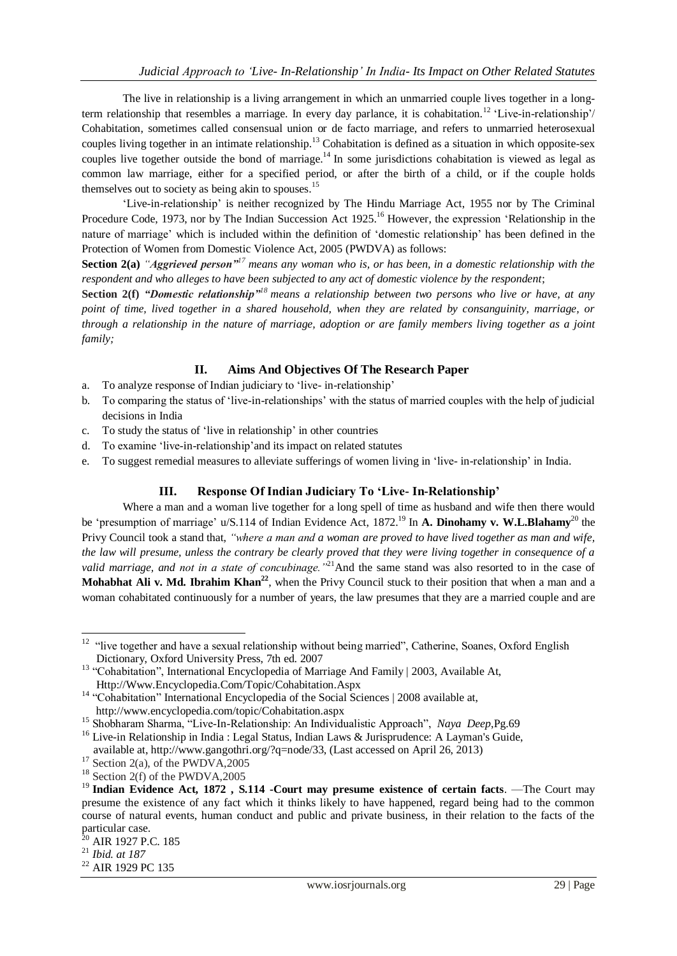The live in relationship is a living arrangement in which an unmarried couple lives together in a longterm relationship that resembles a marriage. In every day parlance, it is cohabitation.<sup>12</sup> 'Live-in-relationship'/ Cohabitation, sometimes called consensual union or de facto marriage, and refers to unmarried heterosexual couples living together in an intimate relationship.<sup>13</sup> Cohabitation is defined as a situation in which opposite-sex couples live together outside the bond of marriage.<sup>14</sup> In some jurisdictions cohabitation is viewed as legal as common law marriage, either for a specified period, or after the birth of a child, or if the couple holds themselves out to society as being akin to spouses.<sup>15</sup>

‗Live-in-relationship' is neither recognized by The [Hindu Marriage Act,](http://en.wikipedia.org/wiki/Hindu_Marriage_Act) 1955 nor by The Criminal Procedure Code, 1973, nor by The Indian Succession Act 1925.<sup>16</sup> However, the expression 'Relationship in the nature of marriage' which is included within the definition of ‗domestic relationship' has been defined in the [Protection of Women from Domestic Violence Act, 2005](http://en.wikipedia.org/wiki/Protection_of_Women_from_Domestic_Violence_Act_2005) (PWDVA) as follows:

**Section 2(a)** *"Aggrieved person"<sup>17</sup> means any woman who is, or has been, in a domestic relationship with the respondent and who alleges to have been subjected to any act of domestic violence by the respondent*;

**Section 2(f)** *"Domestic relationship"<sup>18</sup> means a relationship between two persons who live or have, at any point of time, lived together in a shared household, when they are related by consanguinity, marriage, or through a relationship in the nature of marriage, adoption or are family members living together as a joint family;* 

## **II. Aims And Objectives Of The Research Paper**

- a. To analyze response of Indian judiciary to 'live- in-relationship'
- b. To comparing the status of 'live-in-relationships' with the status of married couples with the help of judicial decisions in India
- c. To study the status of ‗live in relationship' in other countries
- d. To examine ‗live-in-relationship'and its impact on related statutes
- e. To suggest remedial measures to alleviate sufferings of women living in ‗live- in-relationship' in India.

## **III. Response Of Indian Judiciary To "Live- In-Relationship"**

Where a man and a woman live together for a long spell of time as husband and wife then there would be 'presumption of marriage' u/S.114 of Indian Evidence Act, 1872.<sup>19</sup> In **A. Dinohamy v. W.L.Blahamy**<sup>20</sup> the Privy Council took a stand that, *"where a man and a woman are proved to have lived together as man and wife, the law will presume, unless the contrary be clearly proved that they were living together in consequence of a valid marriage, and not in a state of concubinage.*<sup>22</sup><sup>1</sup>And the same stand was also resorted to in the case of **Mohabhat Ali v. Md. Ibrahim Khan<sup>22</sup>**, when the Privy Council stuck to their position that when a man and a woman cohabitated continuously for a number of years, the law presumes that they are a married couple and are

<sup>&</sup>lt;sup>12</sup> "live together and have a sexual relationship without being married", Catherine, Soanes, Oxford English Dictionary, Oxford University Press, 7th ed. 2007

<sup>&</sup>lt;sup>13</sup> "Cohabitation", International Encyclopedia of Marriage And Family | 2003, Available At, [Http://Www.Encyclopedia.Com/Topic/Cohabitation.Aspx](http://www.encyclopedia.com/Topic/Cohabitation.Aspx)

<sup>&</sup>lt;sup>14</sup> "Cohabitation" International Encyclopedia of the Social Sciences | 2008 available at, http://www.encyclopedia.com/topic/Cohabitation.aspx

<sup>&</sup>lt;sup>15</sup> Shobharam Sharma, "Live-In-Relationship: An Individualistic Approach", *Naya Deep*,Pg.69

<sup>&</sup>lt;sup>16</sup> Live-in Relationship in India : Legal Status, Indian Laws & Jurisprudence: A Layman's Guide,

available at, http://www.gangothri.org/?q=node/33, (Last accessed on April 26, 2013)  $17$  Section 2(a), of the PWDVA, 2005

 $18$  Section 2(f) of the PWDVA, 2005

<sup>&</sup>lt;sup>19</sup> Indian Evidence Act, 1872, S.114 -Court may presume existence of certain facts. —The Court may presume the existence of any fact which it thinks likely to have happened, regard being had to the common course of natural events, human conduct and public and private business, in their relation to the facts of the particular case.

AIR 1927 P.C. 185

<sup>21</sup> *Ibid. at 187*

<sup>22</sup> AIR 1929 PC 135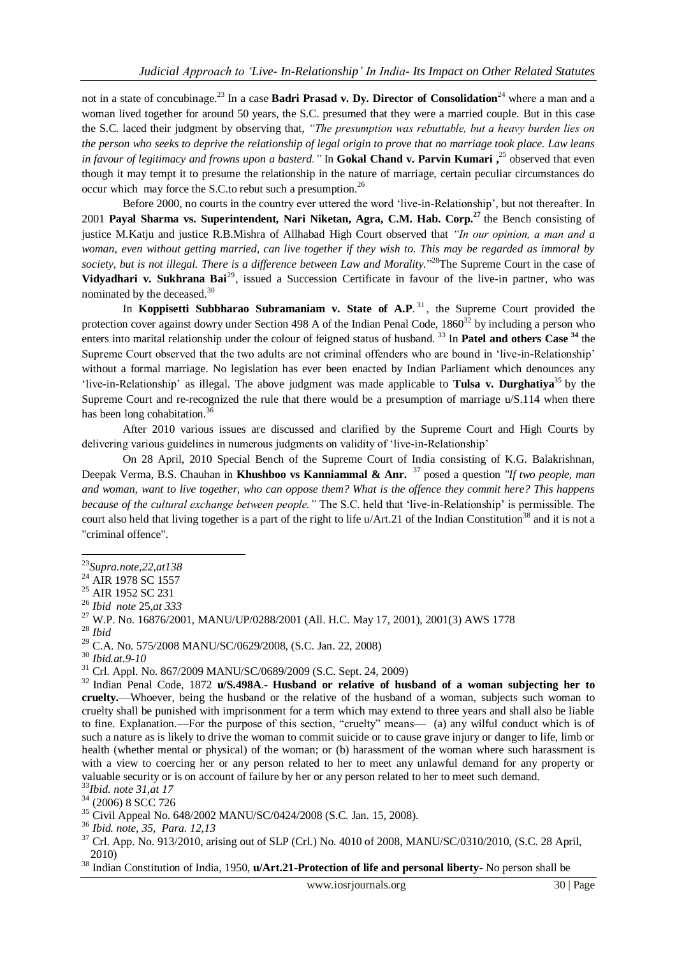not in a state of concubinage.<sup>23</sup> In a case **Badri Prasad v. Dy. Director of Consolidation**<sup>24</sup> where a man and a woman lived together for around 50 years, the S.C. presumed that they were a married couple. But in this case the S.C. laced their judgment by observing that*, "The presumption was rebuttable, but a heavy burden lies on the person who seeks to deprive the relationship of legal origin to prove that no marriage took place. Law leans in favour of legitimacy and frowns upon a basterd."* In **Gokal Chand v. Parvin Kumari ,** <sup>25</sup> observed that even though it may tempt it to presume the relationship in the nature of marriage, certain peculiar circumstances do occur which may force the S.C.to rebut such a presumption.<sup>26</sup>

Before 2000, no courts in the country ever uttered the word 'live-in-Relationship', but not thereafter. In 2001 **Payal Sharma vs. Superintendent, Nari Niketan, Agra, C.M. Hab. Corp.<sup>27</sup>** the Bench consisting of justice M.Katju and justice R.B.Mishra of Allhabad High Court observed that *"In our opinion, a man and a woman, even without getting married, can live together if they wish to. This may be regarded as immoral by*  society, but is not illegal. There is a difference between Law and Morality.<sup>"28</sup>The Supreme Court in the case of Vidyadhari v. Sukhrana Bai<sup>29</sup>, issued a Succession Certificate in favour of the live-in partner, who was nominated by the deceased.<sup>30</sup>

In **Koppisetti Subbharao Subramaniam v. State of A.P.**<sup>31</sup>, the Supreme Court provided the protection cover against dowry under Section 498 A of the Indian Penal Code,  $1860^{32}$  by including a person who enters into marital relationship under the colour of feigned status of husband. <sup>33</sup> In **Patel and others Case <sup>34</sup>** the Supreme Court observed that the two adults are not criminal offenders who are bound in 'live-in-Relationship' without a formal marriage. No legislation has ever been enacted by Indian Parliament which denounces any 'live-in-Relationship' as illegal. The above judgment was made applicable to **Tulsa v. Durghatiya**<sup>35</sup> by the Supreme Court and re-recognized the rule that there would be a presumption of marriage  $u/S.114$  when there has been long cohabitation.<sup>36</sup>

After 2010 various issues are discussed and clarified by the Supreme Court and High Courts by delivering various guidelines in numerous judgments on validity of 'live-in-Relationship'

On 28 April, 2010 Special Bench of the Supreme Court of India consisting of K.G. Balakrishnan, Deepak Verma, B.S. Chauhan in **Khushboo vs Kanniammal & Anr.** <sup>37</sup> posed a question *"If two people, man and woman, want to live together, who can oppose them? What is the offence they commit here? This happens because of the cultural exchange between people."* The S.C. held that ‗live-in-Relationship' is permissible. The court also held that living together is a part of the right to life  $u/Art.21$  of the Indian Constitution<sup>38</sup> and it is not a "criminal offence".

<sup>-</sup><sup>23</sup>*Supra.note,22,at138*

<sup>&</sup>lt;sup>24</sup> AIR 1978 SC 1557

<sup>&</sup>lt;sup>25</sup> AIR 1952 SC 231

<sup>26</sup> *Ibid note* 25,*at 333*

<sup>27</sup> W.P. No. 16876/2001, MANU/UP/0288/2001 (All. H.C. May 17, 2001), 2001(3) AWS 1778

<sup>28</sup> *Ibid*

<sup>29</sup> C.A. No. 575/2008 MANU/SC/0629/2008, (S.C. Jan. 22, 2008)

<sup>30</sup> *Ibid.at.9-10*

<sup>31</sup> Crl. Appl. No. 867/2009 MANU/SC/0689/2009 (S.C. Sept. 24, 2009)

<sup>32</sup> Indian Penal Code, 1872 **u/S.498A**.- **Husband or relative of husband of a woman subjecting her to cruelty.**—Whoever, being the husband or the relative of the husband of a woman, subjects such woman to cruelty shall be punished with imprisonment for a term which may extend to three years and shall also be liable to fine. Explanation.—For the purpose of this section, "cruelty" means— [\(a\)](http://indiankanoon.org/doc/1776697/) any wilful conduct which is of such a nature as is likely to drive the woman to commit suicide or to cause grave injury or danger to life, limb or health (whether mental or physical) of the woman; or [\(b\)](http://indiankanoon.org/doc/1824991/) harassment of the woman where such harassment is with a view to coercing her or any person related to her to meet any unlawful demand for any property or valuable security or is on account of failure by her or any person related to her to meet such demand.

<sup>33</sup>*Ibid. note 31,at 17*

<sup>&</sup>lt;sup>34</sup> (2006) 8 SCC 726

<sup>&</sup>lt;sup>35</sup> Civil Appeal No. 648/2002 MANU/SC/0424/2008 (S.C. Jan. 15, 2008).

<sup>36</sup> *Ibid. note, 35, Para. 12,13*

<sup>37</sup> Crl. App. No. 913/2010, arising out of SLP (Crl.) No. 4010 of 2008, MANU/SC/0310/2010, (S.C. 28 April, 2010)

<sup>38</sup> Indian Constitution of India, 1950, **u/Art.21-Protection of life and personal liberty-** No person shall be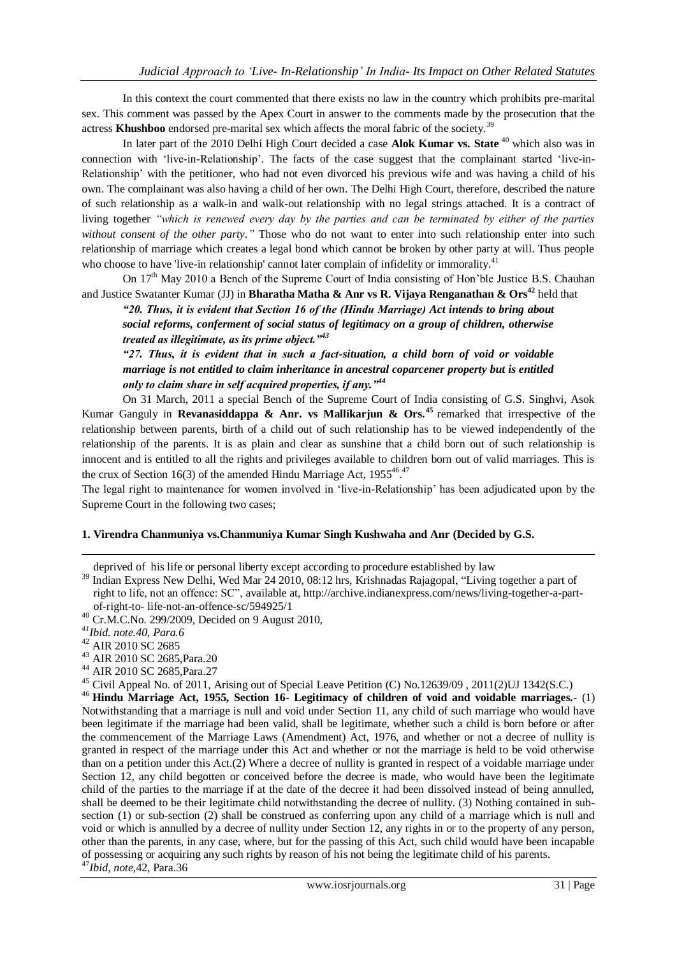In this context the court commented that there exists no law in the country which prohibits pre-marital sex. This comment was passed by the Apex Court in answer to the comments made by the prosecution that the actress **Khushboo** endorsed pre-marital sex which affects the moral fabric of the society.<sup>39</sup>

In later part of the 2010 Delhi High Court decided a case **Alok Kumar vs. State** <sup>40</sup> which also was in connection with 'live-in-Relationship'. The facts of the case suggest that the complainant started 'live-in-Relationship' with the petitioner, who had not even divorced his previous wife and was having a child of his own. The complainant was also having a child of her own. The Delhi High Court, therefore, described the nature of such relationship as a walk-in and walk-out relationship with no legal strings attached. It is a contract of living together *"which is renewed every day by the parties and can be terminated by either of the parties without consent of the other party."* Those who do not want to enter into such relationship enter into such relationship of marriage which creates a legal bond which cannot be broken by other party at will. Thus people who choose to have 'live-in relationship' cannot later complain of infidelity or immorality.<sup>41</sup>

On 17<sup>th</sup> May 2010 a Bench of the Supreme Court of India consisting of Hon'ble Justice B.S. Chauhan and Justice Swatanter Kumar (JJ) in **Bharatha Matha & Anr vs R. Vijaya Renganathan & Ors<sup>42</sup>** held that

*"20. Thus, it is evident that Section 16 of the (Hindu Marriage) Act intends to bring about social reforms, conferment of social status of legitimacy on a group of children, otherwise treated as illegitimate, as its prime object."<sup>43</sup>*

*"27. Thus, it is evident that in such a fact-situation, a child born of void or voidable marriage is not entitled to claim inheritance in ancestral coparcener property but is entitled only to claim share in self acquired properties, if any."<sup>44</sup>*

On 31 March, 2011 a special Bench of the Supreme Court of India consisting of G.S. Singhvi, Asok Kumar Ganguly in **Revanasiddappa & Anr. vs Mallikarjun & Ors.<sup>45</sup>** remarked that irrespective of the relationship between parents, birth of a child out of such relationship has to be viewed independently of the relationship of the parents. It is as plain and clear as sunshine that a child born out of such relationship is innocent and is entitled to all the rights and privileges available to children born out of valid marriages. This is the crux of Section 16(3) of the amended Hindu Marriage Act,  $1955^{46}$ .<sup>27</sup>

The legal right to maintenance for women involved in 'live-in-Relationship' has been adjudicated upon by the Supreme Court in the following two cases;

#### **1. Virendra Chanmuniya vs.Chanmuniya Kumar Singh Kushwaha and Anr (Decided by G.S.**

deprived of his life or personal liberty except according to procedure established by law

<sup>39</sup> Indian Express New Delhi, Wed Mar 24 2010, 08:12 hrs[, Krishnadas Rajagopal,](http://archive.indianexpress.com/columnist/krishnadasrajagopal/) "Living together a part of right to life, not an offence: SC", available at, http://archive.indianexpress.com/news/living-together-a-partof-right-to- life-not-an-offence-sc/594925/1

-

- <sup>43</sup> AIR 2010 SC 2685,Para.20
- <sup>44</sup> AIR 2010 SC 2685,Para.27

<sup>46</sup> **Hindu Marriage Act, 1955, Section 16- Legitimacy of children of void and voidable marriages.-** (1) Notwithstanding that a marriage is null and void under Section 11, any child of such marriage who would have been legitimate if the marriage had been valid, shall be legitimate, whether such a child is born before or after the commencement of the Marriage Laws (Amendment) Act, 1976, and whether or not a decree of nullity is granted in respect of the marriage under this Act and whether or not the marriage is held to be void otherwise than on a petition under this Act.(2) Where a decree of nullity is granted in respect of a voidable marriage under Section 12, any child begotten or conceived before the decree is made, who would have been the legitimate child of the parties to the marriage if at the date of the decree it had been dissolved instead of being annulled, shall be deemed to be their legitimate child notwithstanding the decree of nullity. (3) Nothing contained in subsection (1) or sub-section (2) shall be construed as conferring upon any child of a marriage which is null and void or which is annulled by a decree of nullity under Section 12, any rights in or to the property of any person, other than the parents, in any case, where, but for the passing of this Act, such child would have been incapable of possessing or acquiring any such rights by reason of his not being the legitimate child of his parents. <sup>47</sup>*Ibid, note*,42, Para.36

 $^{40}$  Cr.M.C.No. 299/2009, Decided on 9 August 2010,

*<sup>41</sup>Ibid. note.40, Para.6*

<sup>&</sup>lt;sup>42</sup> AIR 2010 SC 2685

<sup>45</sup> Civil Appeal No. of 2011, Arising out of Special Leave Petition (C) No.12639/09 , 2011(2)UJ 1342(S.C.)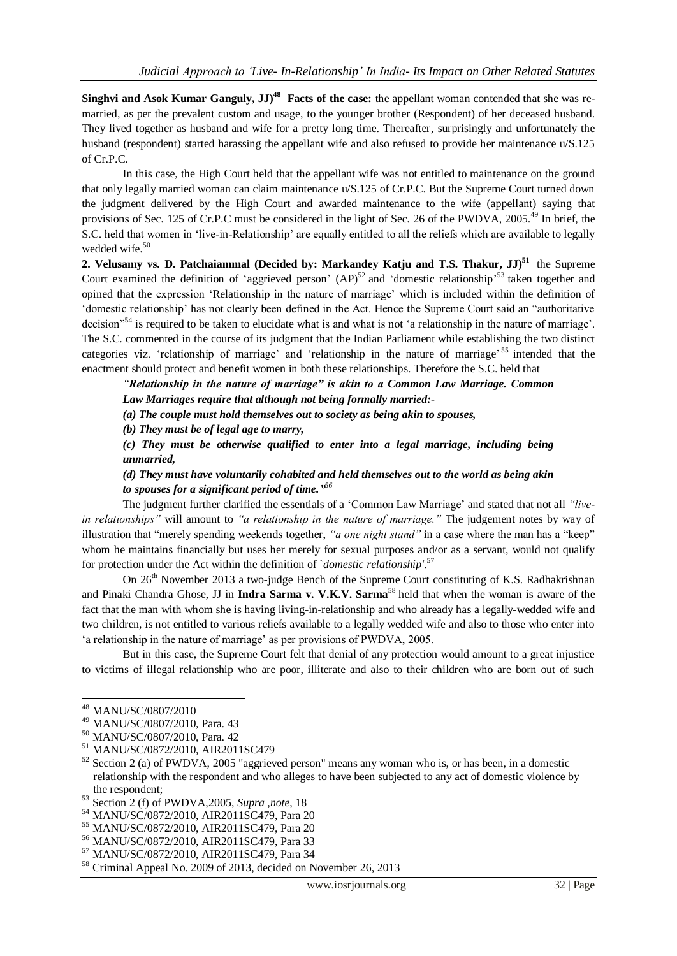Singhvi and Asok Kumar Ganguly, JJ)<sup>48</sup> Facts of the case: the appellant woman contended that she was remarried, as per the prevalent custom and usage, to the younger brother (Respondent) of her deceased husband. They lived together as husband and wife for a pretty long time. Thereafter, surprisingly and unfortunately the husband (respondent) started harassing the appellant wife and also refused to provide her maintenance u/S.125 of Cr.P.C.

In this case, the High Court held that the appellant wife was not entitled to maintenance on the ground that only legally married woman can claim maintenance u/S.125 of Cr.P.C. But the Supreme Court turned down the judgment delivered by the High Court and awarded maintenance to the wife (appellant) saying that provisions of Sec. 125 of Cr.P.C must be considered in the light of Sec. 26 of the PWDVA, 2005.<sup>49</sup> In brief, the S.C. held that women in ‗live-in-Relationship' are equally entitled to all the reliefs which are available to legally wedded wife. $50$ 

**2. Velusamy vs. D. Patchaiammal (Decided by: Markandey Katju and T.S. Thakur, JJ)<sup>51</sup>** the Supreme Court examined the definition of 'aggrieved person'  $(AP)^{52}$  and 'domestic relationship'<sup>53</sup> taken together and opined that the expression 'Relationship in the nature of marriage' which is included within the definition of ‗domestic relationship' has not clearly been defined in the Act. Hence the Supreme Court said an ―authoritative decision<sup>554</sup> is required to be taken to elucidate what is and what is not 'a relationship in the nature of marriage'. The S.C. commented in the course of its judgment that the Indian Parliament while establishing the two distinct categories viz. 'relationship of marriage' and 'relationship in the nature of marriage'<sup>55</sup> intended that the enactment should protect and benefit women in both these relationships. Therefore the S.C. held that

*"Relationship in the nature of marriage" is akin to a Common Law Marriage. Common Law Marriages require that although not being formally married:-*

*(a) The couple must hold themselves out to society as being akin to spouses,*

*(b) They must be of legal age to marry,*

*(c) They must be otherwise qualified to enter into a legal marriage, including being unmarried,*

*(d) They must have voluntarily cohabited and held themselves out to the world as being akin to spouses for a significant period of time." 56*

The judgment further clarified the essentials of a 'Common Law Marriage' and stated that not all "live*in relationships"* will amount to *"a relationship in the nature of marriage."* The judgement notes by way of illustration that "merely spending weekends together, "*a one night stand*" in a case where the man has a "keep" whom he maintains financially but uses her merely for sexual purposes and/or as a servant, would not qualify for protection under the Act within the definition of `*domestic relationship'*. 57

On  $26<sup>th</sup>$  November 2013 a two-judge Bench of the Supreme Court constituting of K.S. Radhakrishnan and Pinaki Chandra Ghose, JJ in **Indra Sarma v. V.K.V. Sarma**<sup>58</sup> held that when the woman is aware of the fact that the man with whom she is having living-in-relationship and who already has a legally-wedded wife and two children, is not entitled to various reliefs available to a legally wedded wife and also to those who enter into ‗a relationship in the nature of marriage' as per provisions of PWDVA, 2005.

But in this case, the Supreme Court felt that denial of any protection would amount to a great injustice to victims of illegal relationship who are poor, illiterate and also to their children who are born out of such

<sup>48</sup> MANU/SC/0807/2010

<sup>49</sup> MANU/SC/0807/2010, Para. 43

<sup>50</sup> MANU/SC/0807/2010, Para. 42

<sup>51</sup> MANU/SC/0872/2010, AIR2011SC479

 $52$  Section 2 (a) of PWDVA, 2005 "aggrieved person" means any woman who is, or has been, in a domestic relationship with the respondent and who alleges to have been subjected to any act of domestic violence by the respondent;

<sup>53</sup> Section 2 (f) of PWDVA,2005, *Supra ,note*, 18

<sup>54</sup> MANU/SC/0872/2010, AIR2011SC479, Para 20

<sup>55</sup> MANU/SC/0872/2010, AIR2011SC479, Para 20

<sup>56</sup> MANU/SC/0872/2010, AIR2011SC479, Para 33

<sup>57</sup> MANU/SC/0872/2010, AIR2011SC479, Para 34

<sup>58</sup> Criminal Appeal No. 2009 of 2013, decided on November 26, 2013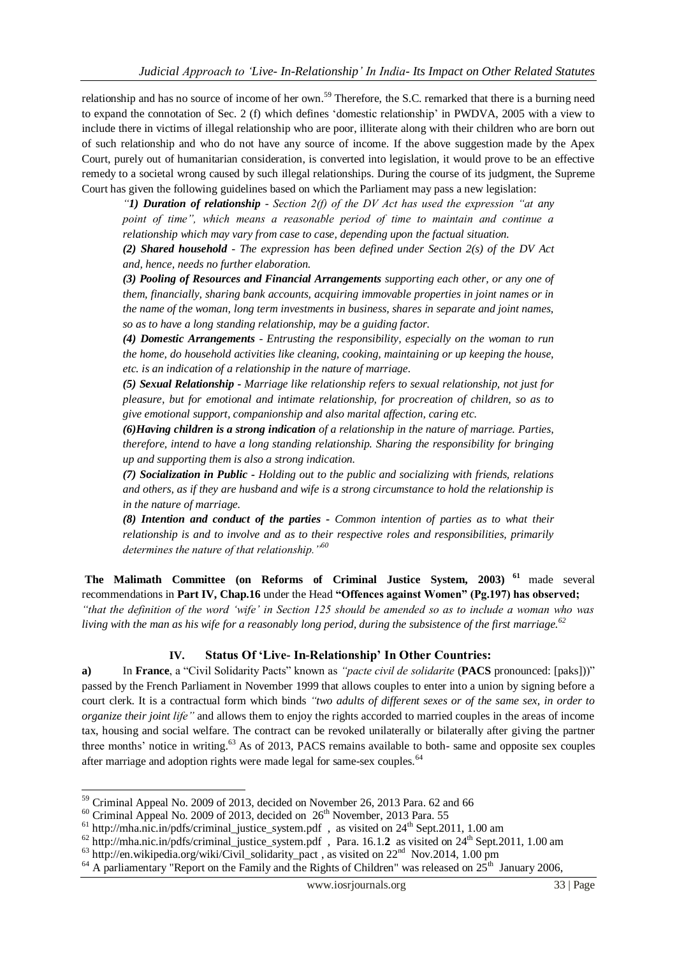relationship and has no source of income of her own.<sup>59</sup> Therefore, the S.C. remarked that there is a burning need to expand the connotation of Sec. 2 (f) which defines 'domestic relationship' in PWDVA, 2005 with a view to include there in victims of illegal relationship who are poor, illiterate along with their children who are born out of such relationship and who do not have any source of income. If the above suggestion made by the Apex Court, purely out of humanitarian consideration, is converted into legislation, it would prove to be an effective remedy to a societal wrong caused by such illegal relationships. During the course of its judgment, the Supreme Court has given the following guidelines based on which the Parliament may pass a new legislation:

*"1) Duration of relationship - Section 2(f) of the DV Act has used the expression "at any point of time", which means a reasonable period of time to maintain and continue a relationship which may vary from case to case, depending upon the factual situation.*

*(2) Shared household - The expression has been defined under Section 2(s) of the DV Act and, hence, needs no further elaboration.*

*(3) Pooling of Resources and Financial Arrangements supporting each other, or any one of them, financially, sharing bank accounts, acquiring immovable properties in joint names or in the name of the woman, long term investments in business, shares in separate and joint names, so as to have a long standing relationship, may be a guiding factor.*

*(4) Domestic Arrangements - Entrusting the responsibility, especially on the woman to run the home, do household activities like cleaning, cooking, maintaining or up keeping the house, etc. is an indication of a relationship in the nature of marriage.*

*(5) Sexual Relationship - Marriage like relationship refers to sexual relationship, not just for pleasure, but for emotional and intimate relationship, for procreation of children, so as to give emotional support, companionship and also marital affection, caring etc.* 

*(6)Having children is a strong indication of a relationship in the nature of marriage. Parties, therefore, intend to have a long standing relationship. Sharing the responsibility for bringing up and supporting them is also a strong indication.*

*(7) Socialization in Public - Holding out to the public and socializing with friends, relations and others, as if they are husband and wife is a strong circumstance to hold the relationship is in the nature of marriage.*

*(8) Intention and conduct of the parties - Common intention of parties as to what their relationship is and to involve and as to their respective roles and responsibilities, primarily determines the nature of that relationship."<sup>60</sup>*

**The Malimath Committee (on Reforms of Criminal Justice System, 2003) <sup>61</sup>** made several recommendations in **Part IV, Chap.16** under the Head **"Offences against Women" (Pg.197) has observed;**  *"that the definition of the word "wife" in Section 125 should be amended so as to include a woman who was living with the man as his wife for a reasonably long period, during the subsistence of the first marriage.<sup>62</sup>*

## **IV. Status Of "Live- In-Relationship" In Other Countries:**

**a)** In **France**, a "Civil Solidarity Pacts" known as *"pacte civil de solidarite* (**PACS** pronounced: [\[paks\]\)](http://en.wikipedia.org/wiki/Help:IPA_for_French))" passed by the French Parliament in November 1999 that allows couples to enter into a union by signing before a court clerk. It is a [contractual](http://en.wikipedia.org/wiki/Contractual) form which binds *"two adults of different sexes or of the same sex, in order to organize their joint life"* and allows them to enjoy the rights accorded to married couples in the areas of income tax, housing and social welfare. The contract can be revoked unilaterally or bilaterally after giving the partner three months' notice in writing.<sup>63</sup> As of 2013, PACS remains available to both- same and opposite sex couples after marriage and adoption rights were made legal for same-sex couples.<sup>64</sup>

 $59$  Criminal Appeal No. 2009 of 2013, decided on November 26, 2013 Para. 62 and 66

 $60$  Criminal Appeal No. 2009 of 2013, decided on  $26<sup>th</sup>$  November, 2013 Para. 55

 $61$  http://mha.nic.in/pdfs/criminal\_justice\_system.pdf, as visited on  $24<sup>th</sup>$  Sept.2011, 1.00 am

<sup>62</sup> [http://mha.nic.in/pdfs/criminal\\_justice\\_system.pdf](http://mha.nic.in/pdfs/criminal_justice_system.pdf) , Para. 16.1.**2** as visited on 24th Sept.2011, 1.00 am

 $^{63}$  [http://en.wikipedia.org/wiki/Civil\\_solidarity\\_pact](http://en.wikipedia.org/wiki/Civil_solidarity_pact), as visited on  $22<sup>nd</sup>$  Nov.2014, 1.00 pm

 $64$  A parliamentary "Report on the Family and the Rights of Children" was released on  $25<sup>th</sup>$  January 2006,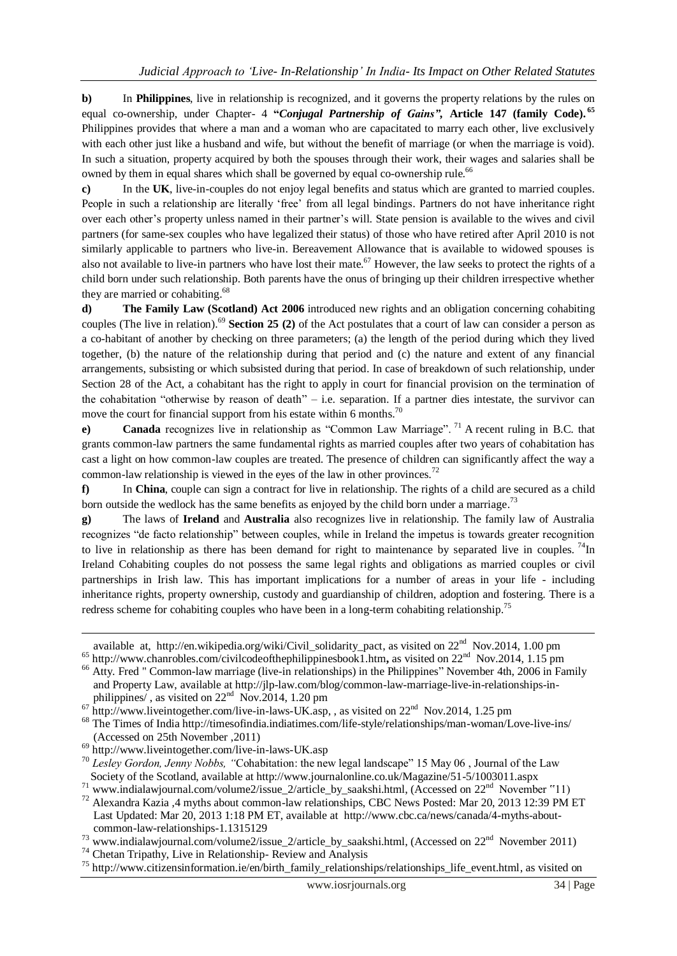**b)** In **Philippines**, live in relationship is recognized, and it governs the property relations by the rules on equal co-ownership, under Chapter- 4 **"***Conjugal Partnership of Gains",* **Article 147 (family Code). <sup>65</sup>** Philippines provides that where a man and a woman who are capacitated to marry each other, live exclusively with each other just like a husband and wife, but without the benefit of marriage (or when the marriage is void). In such a situation, property acquired by both the spouses through their work, their wages and salaries shall be owned by them in equal shares which shall be governed by equal co-ownership rule.<sup>66</sup>

**c)** In the **UK**, live-in-couples do not enjoy legal benefits and status which are granted to married couples. People in such a relationship are literally 'free' from all legal bindings. Partners do not have inheritance right over each other's property unless named in their partner's will. State pension is available to the wives and civil partners (for same-sex couples who have legalized their status) of those who have retired after April 2010 is not similarly applicable to partners who live-in. Bereavement Allowance that is available to widowed spouses is also not available to live-in partners who have lost their mate.<sup>67</sup> However, the law seeks to protect the rights of a child born under such relationship. Both parents have the onus of bringing up their children irrespective whether they are married or cohabiting.<sup>68</sup>

**d) The Family Law (Scotland) Act 2006** introduced new rights and an obligation concerning cohabiting couples (The live in relation).<sup>69</sup> **Section 25 (2)** of the Act postulates that a court of law can consider a person as a co-habitant of another by checking on three parameters; (a) the length of the period during which they lived together, (b) the nature of the relationship during that period and (c) the nature and extent of any financial arrangements, subsisting or which subsisted during that period. In case of breakdown of such relationship, under Section 28 of the Act, a cohabitant has the right to apply in court for financial provision on the termination of the cohabitation "otherwise by reason of death" – i.e. separation. If a partner dies intestate, the survivor can move the court for financial support from his estate within 6 months.<sup>70</sup>

**e**) **Canada** recognizes live in relationship as "Common Law Marriage". <sup>71</sup> A recent ruling in B.C. that grants common-law partners the same fundamental rights as married couples after two years of cohabitation has cast a light on how common-law couples are treated. The presence of children can significantly affect the way a common-law relationship is viewed in the eyes of the law in other provinces.<sup>72</sup>

**f)** In **China**, couple can sign a contract for live in relationship. The rights of a child are secured as a child born outside the wedlock has the same benefits as enjoyed by the child born under a marriage.<sup>73</sup>

**g)** The laws of **Ireland** and **Australia** also recognizes live in relationship. The family law of Australia recognizes "de facto relationship" between couples, while in Ireland the impetus is towards greater recognition to live in relationship as there has been demand for right to maintenance by separated live in couples.  $^{74}$ In Ireland [Cohabiting couples](http://www.citizensinformation.ie/en/birth_family_relationships/cohabiting_couples/rights_of_unmarried_couples.html) do not possess the same legal rights and obligations as married couples or civil partnerships in Irish law. This has important implications for a number of areas in your life - including [inheritance rights,](http://www.citizensinformation.ie/en/birth_family_relationships/unmarried_couples/inheritance_rights_and_unmarried_couples.html) [property ownership,](http://www.citizensinformation.ie/en/birth_family_relationships/unmarried_couples/property_rights_and_unmarried_couples.html) [custody](http://www.citizensinformation.ie/en/birth_family_relationships/unmarried_couples/custody_of_children_and_unmarried_couples.html) and [guardianship of children,](http://www.citizensinformation.ie/en/birth_family_relationships/unmarried_couples/legal_guardianship_and_unmarried_couples.html) [adoption](http://www.citizensinformation.ie/en/birth_family_relationships/unmarried_couples/adoption_and_unmarried_couples.html) and [fostering.](http://www.citizensinformation.ie/en/birth_family_relationships/unmarried_couples/fostering_and_unmarried_couples.html) There is a [redress scheme for cohabiting couples](http://www.citizensinformation.ie/en/birth_family_relationships/problems_in_marriages_and_other_relationships/redress_scheme_for_cohabiting_couples.html) who have been in a long-term cohabiting relationship.<sup>75</sup>

-

available at, [http://en.wikipedia.org/wiki/Civil\\_solidarity\\_pact,](http://en.wikipedia.org/wiki/Civil_solidarity_pact) as visited on 22<sup>nd</sup> Nov.2014, 1.00 pm <sup>65</sup> <http://www.chanrobles.com/civilcodeofthephilippinesbook1.htm>, as visited on 22<sup>nd</sup> Nov.2014, 1.15 pm

<sup>&</sup>lt;sup>66</sup> [Atty. Fred](http://jlp-law.com/blog/author/) " Common-law marriage (live-in relationships) in the Philippines" November 4th, 2006 in Family  [and Property Law,](Family%20%20%0d%20%20%20%20and%20Property%20Law) available at [http://jlp-law.com/blog/common-law-marriage-live-in-relationships-in](http://jlp-law.com/blog/common-law-marriage-live-in-relationships-in-%20%20%20%20%20philippines/) philippines/, as visited on  $22<sup>nd</sup>$  Nov.2014, 1.20 pm

 $\frac{67 \text{ http://www.liveintogether.com/live-in-laws-UK.}$  as visited on  $22^{\text{nd}}$  Nov.2014, 1.25 pm

<sup>68</sup> The Times of India http://timesofindia.indiatimes.com/life-style/relationships/man-woman/Love-live-ins/ (Accessed on 25th November ,2011)

<sup>69</sup> <http://www.liveintogether.com/live-in-laws-UK.asp>

<sup>&</sup>lt;sup>70</sup> Lesley Gordon, Jenny Nobbs, "Cohabitation: the new legal landscape" 15 May 06, Journal of the Law Society of the Scotland, available at http://www.journalonline.co.uk/Magazine/51-5/1003011.aspx

<sup>&</sup>lt;sup>71</sup> www.indialawjournal.com/volume2/issue\_2/article\_by\_saakshi.html, (Accessed on 22<sup>nd</sup> November "11)

<sup>&</sup>lt;sup>72</sup> Alexandra Kazia ,4 myths about common-law relationships, [CBC News](http://www.cbc.ca/news/cbc-news-online-news-staff-list-1.1294364) Posted: Mar 20, 2013 12:39 PM ET Last Updated: Mar 20, 2013 1:18 PM ET, available at [http://www.cbc.ca/news/canada/4-myths-about](http://www.cbc.ca/news/canada/4-myths-about-%20%20%20%20%20common-law-relationships-1.1315129)  [common-law-relationships-1.1315129](http://www.cbc.ca/news/canada/4-myths-about-%20%20%20%20%20common-law-relationships-1.1315129)

<sup>&</sup>lt;sup>73</sup> www.indialawjournal.com/volume2/issue\_2/article\_by\_saakshi.html, (Accessed on  $22<sup>nd</sup>$  November 2011)

<sup>74</sup> Chetan Tripathy, Live in Relationship- Review and Analysis

<sup>75</sup> [http://www.citizensinformation.ie/en/birth\\_family\\_relationships/relationships\\_life\\_event.html,](http://www.citizensinformation.ie/en/birth_family_relationships/relationships_life_event.html) as visited on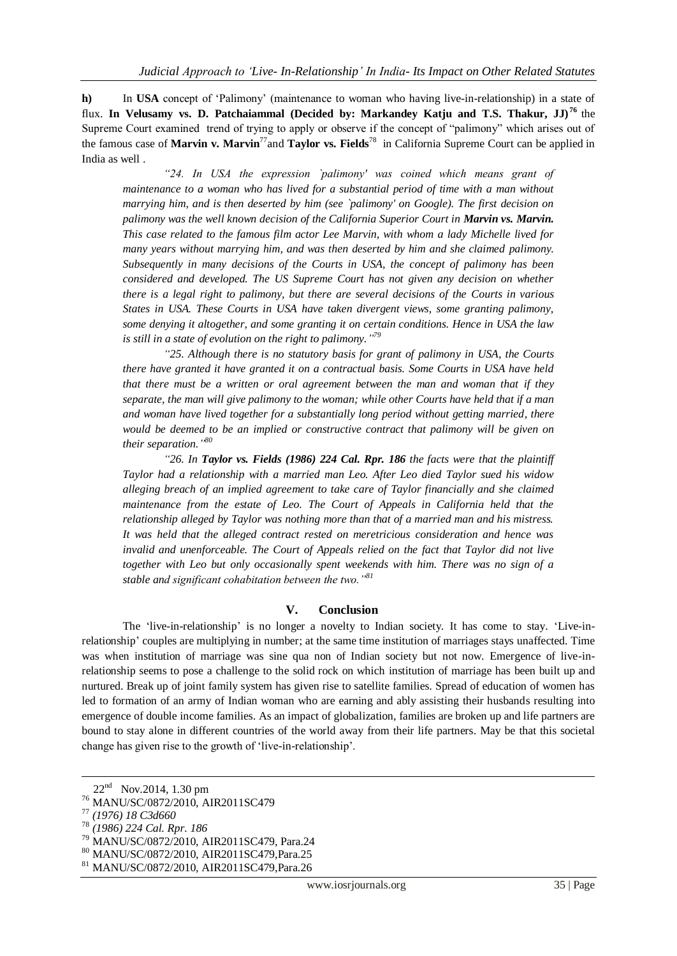**h)** In **USA** concept of ‗Palimony' (maintenance to woman who having live-in-relationship) in a state of flux. **In Velusamy vs. D. Patchaiammal (Decided by: Markandey Katju and T.S. Thakur, JJ) <sup>76</sup>** the Supreme Court examined trend of trying to apply or observe if the concept of "palimony" which arises out of the famous case of **Marvin v. Marvin**<sup>77</sup>and **Taylor vs. Fields**<sup>78</sup> in California Supreme Court can be applied in India as well .

*"24. In USA the expression `palimony' was coined which means grant of maintenance to a woman who has lived for a substantial period of time with a man without marrying him, and is then deserted by him (see `palimony' on Google). The first decision on palimony was the well known decision of the California Superior Court in Marvin vs. Marvin. This case related to the famous film actor Lee Marvin, with whom a lady Michelle lived for many years without marrying him, and was then deserted by him and she claimed palimony. Subsequently in many decisions of the Courts in USA, the concept of palimony has been considered and developed. The US Supreme Court has not given any decision on whether there is a legal right to palimony, but there are several decisions of the Courts in various States in USA. These Courts in USA have taken divergent views, some granting palimony, some denying it altogether, and some granting it on certain conditions. Hence in USA the law is still in a state of evolution on the right to palimony." 79*

*"25. Although there is no statutory basis for grant of palimony in USA, the Courts there have granted it have granted it on a contractual basis. Some Courts in USA have held that there must be a written or oral agreement between the man and woman that if they separate, the man will give palimony to the woman; while other Courts have held that if a man and woman have lived together for a substantially long period without getting married, there would be deemed to be an implied or constructive contract that palimony will be given on their separation." 80*

*"26. In Taylor vs. Fields (1986) 224 Cal. Rpr. 186 the facts were that the plaintiff Taylor had a relationship with a married man Leo. After Leo died Taylor sued his widow alleging breach of an implied agreement to take care of Taylor financially and she claimed maintenance from the estate of Leo. The Court of Appeals in California held that the relationship alleged by Taylor was nothing more than that of a married man and his mistress. It was held that the alleged contract rested on meretricious consideration and hence was invalid and unenforceable. The Court of Appeals relied on the fact that Taylor did not live together with Leo but only occasionally spent weekends with him. There was no sign of a stable and significant cohabitation between the two."<sup>81</sup>*

#### **V. Conclusion**

The 'live-in-relationship' is no longer a novelty to Indian society. It has come to stay. 'Live-inrelationship' couples are multiplying in number; at the same time institution of marriages stays unaffected. Time was when institution of marriage was sine qua non of Indian society but not now. Emergence of live-inrelationship seems to pose a challenge to the solid rock on which institution of marriage has been built up and nurtured. Break up of joint family system has given rise to satellite families. Spread of education of women has led to formation of an army of Indian woman who are earning and ably assisting their husbands resulting into emergence of double income families. As an impact of globalization, families are broken up and life partners are bound to stay alone in different countries of the world away from their life partners. May be that this societal change has given rise to the growth of 'live-in-relationship'.

1

 $22<sup>nd</sup>$  Nov.2014, 1.30 pm

<sup>76</sup> MANU/SC/0872/2010, AIR2011SC479

<sup>77</sup> *(1976) 18 C3d660*

<sup>78</sup> *(1986) 224 Cal. Rpr. 186*

<sup>79</sup> MANU/SC/0872/2010, AIR2011SC479, Para.24

<sup>80</sup> MANU/SC/0872/2010, AIR2011SC479,Para.25

<sup>81</sup> MANU/SC/0872/2010, AIR2011SC479,Para.26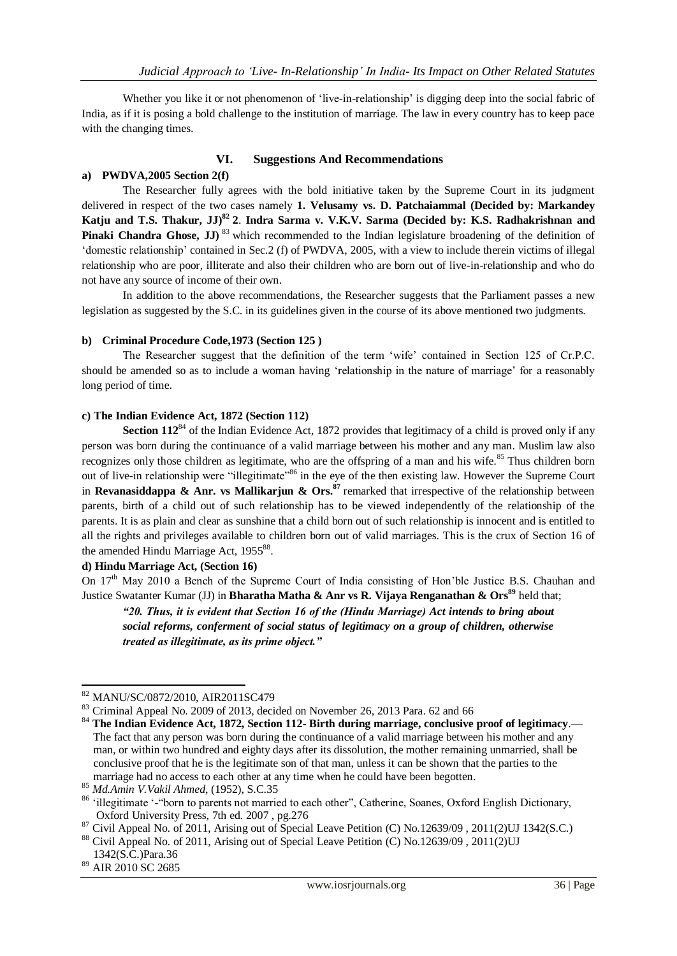Whether you like it or not phenomenon of 'live-in-relationship' is digging deep into the social fabric of India, as if it is posing a bold challenge to the institution of marriage. The law in every country has to keep pace with the changing times.

#### **VI. Suggestions And Recommendations**

## **a) PWDVA,2005 Section 2(f)**

The Researcher fully agrees with the bold initiative taken by the Supreme Court in its judgment delivered in respect of the two cases namely **1. Velusamy vs. D. Patchaiammal (Decided by: Markandey Katju and T.S. Thakur, JJ)<sup>82</sup> 2**. **Indra Sarma v. V.K.V. Sarma (Decided by: K.S. Radhakrishnan and Pinaki Chandra Ghose, JJ)**<sup>83</sup> which recommended to the Indian legislature broadening of the definition of ‗domestic relationship' contained in Sec.2 (f) of PWDVA, 2005, with a view to include therein victims of illegal relationship who are poor, illiterate and also their children who are born out of live-in-relationship and who do not have any source of income of their own.

In addition to the above recommendations, the Researcher suggests that the Parliament passes a new legislation as suggested by the S.C. in its guidelines given in the course of its above mentioned two judgments.

## **b) Criminal Procedure Code,1973 (Section 125 )**

The Researcher suggest that the definition of the term 'wife' contained in Section 125 of Cr.P.C. should be amended so as to include a woman having 'relationship in the nature of marriage' for a reasonably long period of time.

## **c) The Indian Evidence Act, 1872 (Section 112)**

**Section 112<sup>84</sup>** of the Indian Evidence Act, 1872 provides that legitimacy of a child is proved only if any person was born during the continuance of a valid marriage between his mother and any man. Muslim law also recognizes only those children as legitimate, who are the offspring of a man and his wife.<sup>85</sup> Thus children born out of live-in relationship were "illegitimate"<sup>86</sup> in the eye of the then existing law. However the Supreme Court in **Revanasiddappa & Anr. vs Mallikarjun & Ors.<sup>87</sup> remarked that irrespective of the relationship between** parents, birth of a child out of such relationship has to be viewed independently of the relationship of the parents. It is as plain and clear as sunshine that a child born out of such relationship is innocent and is entitled to all the rights and privileges available to children born out of valid marriages. This is the crux of Section 16 of the amended Hindu Marriage Act, 195588.

#### **d) Hindu Marriage Act, (Section 16)**

On  $17<sup>th</sup>$  May 2010 a Bench of the Supreme Court of India consisting of Hon'ble Justice B.S. Chauhan and Justice Swatanter Kumar (JJ) in **Bharatha Matha & Anr vs R. Vijaya Renganathan & Ors<sup>89</sup>** held that;

*"20. Thus, it is evident that Section 16 of the (Hindu Marriage) Act intends to bring about social reforms, conferment of social status of legitimacy on a group of children, otherwise treated as illegitimate, as its prime object."*

<sup>1</sup> <sup>82</sup> MANU/SC/0872/2010, AIR2011SC479

<sup>83</sup> Criminal Appeal No. 2009 of 2013, decided on November 26, 2013 Para. 62 and 66

<sup>84</sup> **The Indian Evidence Act, 1872, Section 112- Birth during marriage, conclusive proof of legitimacy**.— The fact that any person was born during the continuance of a valid marriage between his mother and any man, or within two hundred and eighty days after its dissolution, the mother remaining unmarried, shall be conclusive proof that he is the legitimate son of that man, unless it can be shown that the parties to the marriage had no access to each other at any time when he could have been begotten.

<sup>85</sup> *Md.Amin V.Vakil Ahmed*, (1952), S.C.35

<sup>86 &#</sup>x27;illegitimate '-"born to parents not married to each other", Catherine, Soanes, Oxford English Dictionary, Oxford University Press, 7th ed. 2007 , pg.276

<sup>87</sup> Civil Appeal No. of 2011, Arising out of Special Leave Petition (C) No.12639/09, 2011(2)UJ 1342(S.C.)

<sup>&</sup>lt;sup>88</sup> Civil Appeal No. of 2011, Arising out of Special Leave Petition (C) No.12639/09, 2011(2)UJ 1342(S.C.)Para.36

<sup>89</sup> AIR 2010 SC 2685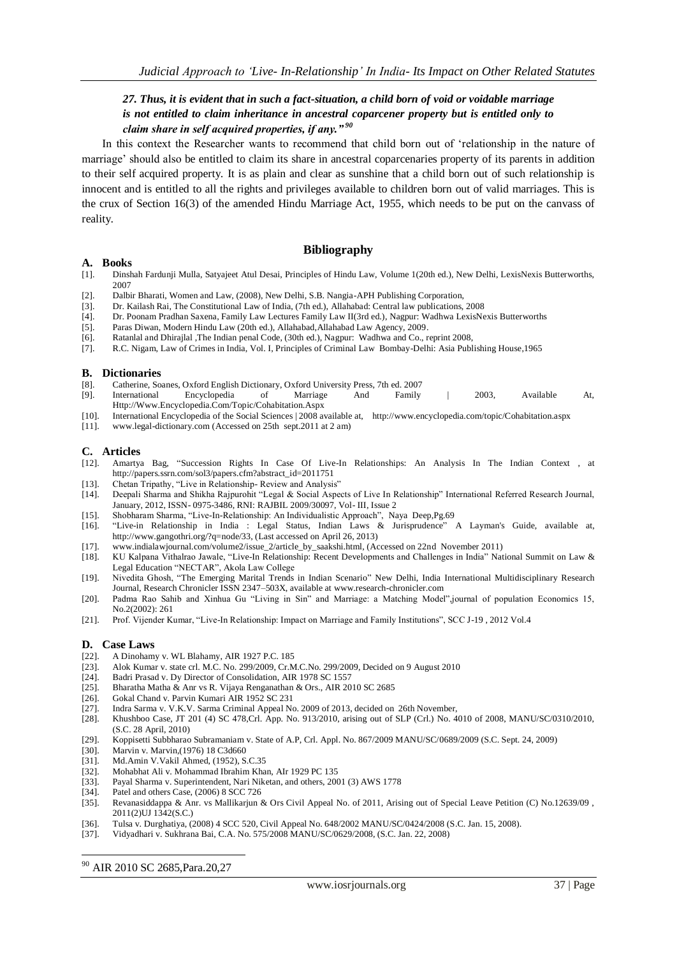## *27. Thus, it is evident that in such a fact-situation, a child born of void or voidable marriage is not entitled to claim inheritance in ancestral coparcener property but is entitled only to claim share in self acquired properties, if any." <sup>90</sup>*

In this context the Researcher wants to recommend that child born out of 'relationship in the nature of marriage' should also be entitled to claim its share in ancestral coparcenaries property of its parents in addition to their self acquired property. It is as plain and clear as sunshine that a child born out of such relationship is innocent and is entitled to all the rights and privileges available to children born out of valid marriages. This is the crux of Section 16(3) of the amended Hindu Marriage Act, 1955, which needs to be put on the canvass of reality.

#### **Bibliography**

#### **A. Books**

- [1]. [Dinshah Fardunji Mulla,](http://www.google.co.in/search?tbo=p&tbm=bks&q=inauthor:%22Sir+Dinshah+Fardunji+Mulla%22&source=gbs_metadata_r&cad=5) [Satyajeet Atul Desai,](http://www.google.co.in/search?tbo=p&tbm=bks&q=inauthor:%22Satyajeet+Atul+Desai%22&source=gbs_metadata_r&cad=5) Principles of Hindu Law, Volume 1(20th ed.), New Delhi, LexisNexis Butterworths, 2007
- [2]. Dalbir Bharati, Women and Law, (2008), New Delhi, S.B. Nangia-APH Publishing Corporation,
- [3]. Dr. Kailash Rai, The Constitutional Law of India, (7th ed.), Allahabad: Central law publications, 2008
- [4]. Dr. Poonam Pradhan Saxena, Family Law Lectures Family Law II(3rd ed.), Nagpur: Wadhwa LexisNexis Butterworths
- Paras Diwan, Modern Hindu Law (20th ed.), Allahabad,Allahabad Law Agency, 2009.
- [6]. Ratanlal and Dhirajlal ,The Indian penal Code, (30th ed.), Nagpur: Wadhwa and Co., reprint 2008,
- [7]. R.C. Nigam, Law of Crimes in India, Vol. I, Principles of Criminal Law Bombay-Delhi: Asia Publishing House,1965

#### **B. Dictionaries**

- [8]. Catherine, Soanes, Oxford English Dictionary, Oxford University Press, 7th ed. 2007
- [9]. International Encyclopedia of Marriage And Family | 2003, Available At, [Http://Www.Encyclopedia.Com/Topic/Cohabitation.Aspx](http://www.encyclopedia.com/Topic/Cohabitation.Aspx)
- [10]. International Encyclopedia of the Social Sciences | 2008 available at, http://www.encyclopedia.com/topic/Cohabitation.aspx [11]. www.legal-dictionary.com (Accessed on 25th sept.2011 at 2 am)
- www.legal-dictionary.com (Accessed on 25th sept.2011 at 2 am)

#### **C. Articles**

- [12]. Amartya Bag, "Succession Rights In Case Of Live-In Relationships: An Analysis In The Indian Context , at http://papers.ssrn.com/sol3/papers.cfm?abstract\_id=2011751
- 
- [13]. Chetan Tripathy, "Live in Relationship- Review and Analysis" [14]. Deepali Sharma and Shikha Rajpurohit "Legal & Social Aspection Deepali Sharma and Shikha Rajpurohit "Legal & Social Aspects of Live In Relationship" International Referred Research Journal, January, 2012, ISSN- 0975-3486, RNI: RAJBIL 2009/30097, Vol- III, Issue 2
- 
- [15]. Shobharam Sharma, "Live-In-Relationship: An Individualistic Approach", Naya Deep,Pg.69<br>[16]. "Live-in Relationship in India : Legal Status, Indian Laws & Jurisprudence" [16]. ―Live-in Relationship in India : Legal Status, Indian Laws & Jurisprudence‖ A Layman's Guide, available at, http://www.gangothri.org/?q=node/33, (Last accessed on April 26, 2013)
- [17]. www.indialawjournal.com/volume2/issue\_2/article\_by\_saakshi.html, (Accessed on 22nd November 2011)
- [18]. KU Kalpana Vithalrao Jawale, "Live-In Relationship: Recent Developments and Challenges in India" National Summit on Law & Legal Education "NECTAR", Akola Law College
- [19]. Nivedita Ghosh, "The Emerging Marital Trends in Indian Scenario" New Delhi, India International Multidisciplinary Research Journal, Research Chronicler ISSN 2347–503X, available at www.research-chronicler.com
- [20]. Padma Rao Sahib and Xinhua Gu "Living in Sin" and Marriage: a Matching Model",journal of population Economics 15, No.2(2002): 261
- [21]. Prof. Vijender Kumar, "Live-In Relationship: Impact on Marriage and Family Institutions", SCC J-19, 2012 Vol.4

#### **D. Case Laws**

- [22]. A Dinohamy v. WL Blahamy, AIR 1927 P.C. 185
- [23]. Alok Kumar v. state crl. M.C. No. 299/2009, Cr.M.C.No. 299/2009, Decided on 9 August 2010
- 
- [24]. Badri Prasad v. Dy Director of Consolidation, AIR 1978 SC 1557<br>[25]. Bharatha Matha & Anr vs R. Vijaya Renganathan & Ors., AIR 20 Bharatha Matha & Anr vs R. Vijaya Renganathan & Ors., AIR 2010 SC 2685
- [26]. Gokal Chand v. Parvin Kumari AIR 1952 SC 231
- [27]. Indra Sarma v. V.K.V. Sarma Criminal Appeal No. 2009 of 2013, decided on 26th November,
- [28]. Khushboo Case, JT 201 (4) SC 478,Crl. App. No. 913/2010, arising out of SLP (Crl.) No. 4010 of 2008, MANU/SC/0310/2010, (S.C. 28 April, 2010)
- [29]. Koppisetti Subbharao Subramaniam v. State of A.P, Crl. Appl. No. 867/2009 MANU/SC/0689/2009 (S.C. Sept. 24, 2009)
- [30]. Marvin v. Marvin,(1976) 18 C3d660
- [31]. Md.Amin V.Vakil Ahmed, (1952), S.C.35
- [32]. Mohabhat Ali v. Mohammad Ibrahim Khan, AIr 1929 PC 135
- [33]. Payal Sharma v. Superintendent, Nari Niketan, and others, 2001 (3) AWS 1778
- [34]. Patel and others Case, (2006) 8 SCC 726
- [35]. Revanasiddappa & Anr. vs Mallikarjun & Ors Civil Appeal No. of 2011, Arising out of Special Leave Petition (C) No.12639/09 , 2011(2)UJ 1342(S.C.)
- [36]. Tulsa v. Durghatiya, (2008) 4 SCC 520, Civil Appeal No. 648/2002 MANU/SC/0424/2008 (S.C. Jan. 15, 2008).
- [37]. Vidyadhari v. Sukhrana Bai, C.A. No. 575/2008 MANU/SC/0629/2008, (S.C. Jan. 22, 2008)

<sup>90</sup> AIR 2010 SC 2685,Para.20,27